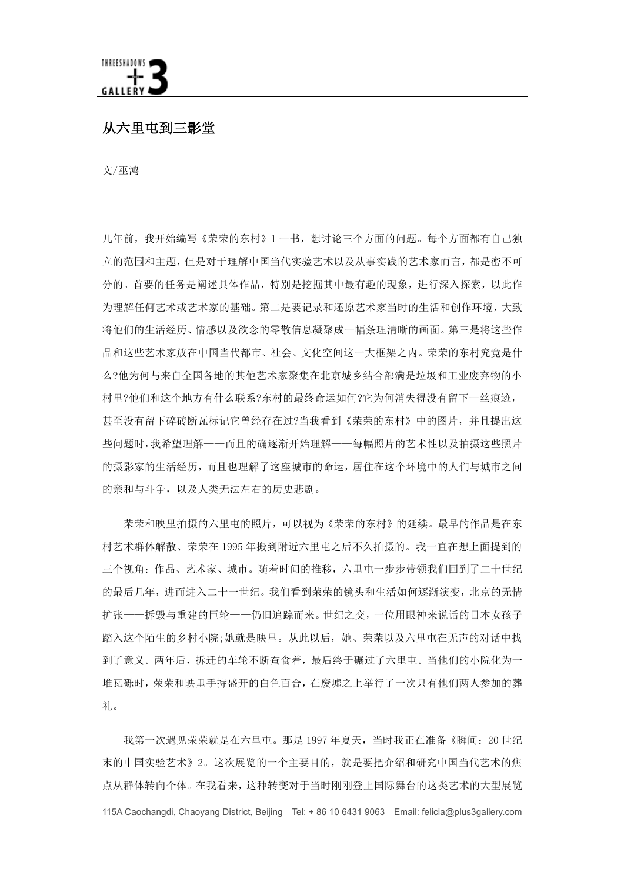从六里中到三影堂

文/巫鸿

几年前,我开始编写《荣荣的东村》1一书,想讨论三个方面的问题。每个方面都有自己独 立的范围和主题, 但是对于理解中国当代实验艺术以及从事实践的艺术家而言, 都是密不可 分的。首要的任务是阐述具体作品,特别是挖掘其中最有趣的现象,进行深入探索,以此作 为理解任何艺术或艺术家的基础。第二是要记录和还原艺术家当时的生活和创作环境,大致 将他们的生活经历、情感以及欲念的零散信息凝聚成一幅条理清晰的画面。第三是将这些作 品和这些艺术家放在中国当代都市、社会、文化空间这一大框架之内。荣荣的东村究竟是什 么?他为何与来自全国各地的其他艺术家聚集在北京城乡结合部满是垃圾和工业废弃物的小 村里?他们和这个地方有什么联系?东村的最终命运如何?它为何消失得没有留下一丝痕迹, 甚至没有留下碎砖断瓦标记它曾经存在过?当我看到《荣荣的东村》中的图片,并且提出这 些问题时,我希望理解--而且的确逐渐开始理解---每幅照片的艺术性以及拍摄这些照片 的摄影家的生活经历,而且也理解了这座城市的命运,居住在这个环境中的人们与城市之间 的亲和与斗争, 以及人类无法左右的历史悲剧。

荣荣和映里拍摄的六里屯的照片,可以视为《荣荣的东村》的延续。最早的作品是在东 村艺术群体解散、荣荣在1995年搬到附近六里屯之后不久拍摄的。我一直在想上面提到的 三个视角: 作品、艺术家、城市。随着时间的推移, 六里屯一步步带领我们回到了二十世纪 的最后几年,进而进入二十一世纪。我们看到荣荣的镜头和生活如何逐渐演变,北京的无情 扩张一一拆毁与重建的巨轮一一仍旧追踪而来。世纪之交,一位用眼神来说话的日本女孩子 踏入这个陌生的乡村小院:她就是映里。从此以后,她、荣荣以及六里屯在无声的对话中找 到了意义。两年后, 拆迁的车轮不断蚕食着, 最后终于碾过了六里屯。当他们的小院化为一 堆瓦砾时, 荣荣和映里手持盛开的白色百合, 在废墟之上举行了一次只有他们两人参加的葬 礼。

我第一次遇见荣荣就是在六里屯。那是1997年夏天,当时我正在准备《瞬间: 20 世纪 末的中国实验艺术》2。这次展览的一个主要目的,就是要把介绍和研究中国当代艺术的焦 点从群体转向个体。在我看来,这种转变对于当时刚刚登上国际舞台的这类艺术的大型展览 115A Caochangdi, Chaoyang District, Beijing Tel: + 86 10 6431 9063 Email: felicia@plus3gallery.com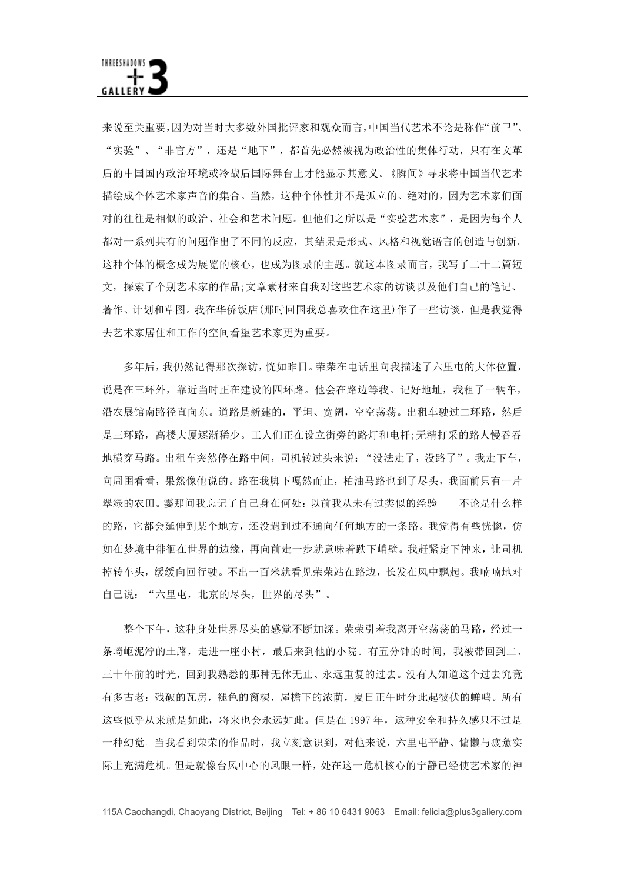来说至关重要,因为对当时大多数外国批评家和观众而言,中国当代艺术不论是称作"前卫"、 "实验"、"非官方",还是"地下",都首先必然被视为政治性的集体行动,只有在文革 后的中国国内政治环境或冷战后国际舞台上才能显示其意义。《瞬间》寻求将中国当代艺术 描绘成个体艺术家声音的集合。当然,这种个体性并不是孤立的、绝对的,因为艺术家们面 对的往往是相似的政治、社会和艺术问题。但他们之所以是"实验艺术家",是因为每个人 都对一系列共有的问题作出了不同的反应,其结果是形式、风格和视觉语言的创造与创新。 这种个体的概念成为展览的核心,也成为图录的主题。就这本图录而言,我写了二十二篇短 文, 探索了个别艺术家的作品:文章素材来自我对这些艺术家的访谈以及他们自己的笔记、 著作、计划和草图。我在华侨饭店(那时回国我总喜欢住在这里)作了一些访谈, 但是我觉得 去艺术家居住和工作的空间看望艺术家更为重要。

多年后,我仍然记得那次探访,恍如昨日。荣荣在电话里向我描述了六里屯的大体位置, 说是在三环外,靠近当时正在建设的四环路。他会在路边等我。记好地址,我租了一辆车, 沿农展馆南路径直向东。道路是新建的,平坦、宽阔,空空荡荡。出租车驶过二环路,然后 是三环路, 高楼大厦涿渐稀少。工人们正在设立街旁的路灯和电杆:无精打采的路人慢吞吞 地横穿马路。出租车突然停在路中间, 司机转过头来说: "没法走了, 没路了"。我走下车, 向周围看看,果然像他说的。路在我脚下嘎然而止,柏油马路也到了尽头,我面前只有一片 翠绿的农田。霎那间我忘记了自己身在何处: 以前我从未有过类似的经验——不论是什么样 的路, 它都会延伸到某个地方, 还没遇到过不通向任何地方的一条路。我觉得有些恍惚, 仿 如在梦境中徘徊在世界的边缘,再向前走一步就意味着跌下峭壁。我赶紧定下神来,让司机 掉转车头, 缓缓向回行驶。不出一百米就看见荣荣站在路边, 长发在风中飘起。我喃喃地对 自己说: "六里屯, 北京的尽头, 世界的尽头"。

整个下午, 这种身处世界尽头的感觉不断加深。荣荣引着我离开空荡荡的马路, 经过一 条崎岖泥泞的土路, 走进一座小村, 最后来到他的小院。有五分钟的时间, 我被带回到二、 三十年前的时光,回到我熟悉的那种无休无止、永远重复的过去。没有人知道这个过去究竟 有多古老: 残破的瓦房, 褪色的窗棂, 屋檐下的浓荫, 夏日正午时分此起彼伏的蝉鸣。所有 这些似乎从来就是如此,将来也会永远如此。但是在1997年,这种安全和持久感只不过是 一种幻觉。当我看到荣荣的作品时,我立刻意识到,对他来说,六里屯平静、慵懒与疲惫实 际上充满危机。但是就像台风中心的风眼一样,处在这一危机核心的宁静已经使艺术家的神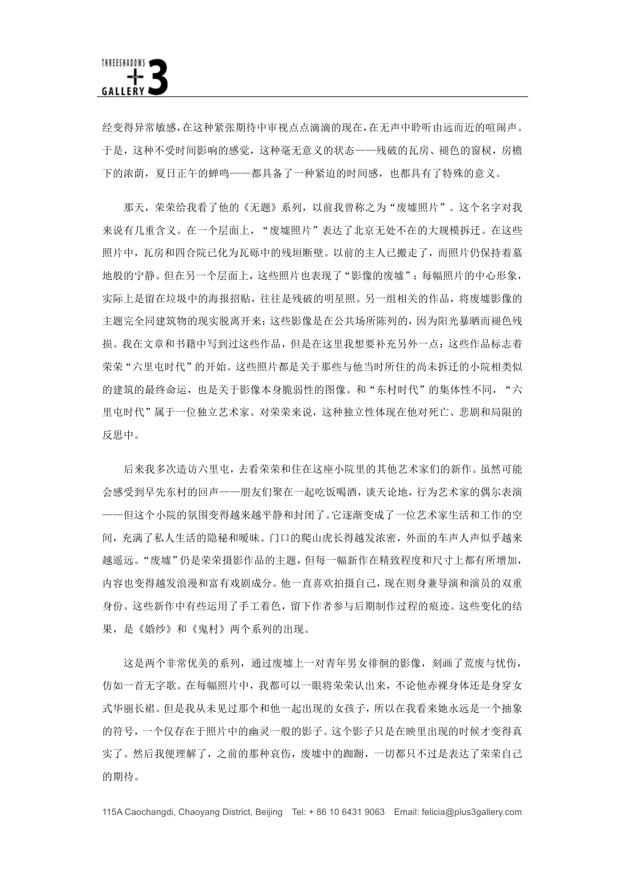经变得异常敏感,在这种紧张期待中审视点点滴滴的现在,在无声中聆听由远而近的喧闹声。 于是,这种不受时间影响的感觉,这种毫无意义的状态——残破的瓦房、褪色的窗棂,房檐 下的浓荫, 夏日正午的蝉鸣——都具备了一种紧迫的时间感, 也都具有了特殊的意义。

那天,荣荣给我看了他的《无题》系列,以前我曾称之为"废墟照片"。这个名字对我 来说有几重含义。在一个层面上, "废墟照片"表达了北京无处不在的大规模拆迁。在这些 照片中, 瓦房和四合院已化为瓦砾中的残垣断壁。以前的主人已搬走了, 而照片仍保持着墓 地般的宁静。但在另一个层面上,这些照片也表现了"影像的废墟":每幅照片的中心形象, 实际上是留在垃圾中的海报招贴,往往是残破的明星照。另一组相关的作品,将废墟影像的 主题完全同建筑物的现实脱离开来: 这些影像是在公共场所陈列的, 因为阳光暴晒而褪色残 损。我在文章和书籍中写到过这些作品, 但是在这里我想要补充另外一点: 这些作品标志着 荣荣"六里屯时代"的开始。这些照片都是关于那些与他当时所住的尚未拆迁的小院相类似 的建筑的最终命运,也是关于影像本身脆弱性的图像。和"东村时代"的集体性不同,"六 里屯时代"属于一位独立艺术家。对荣荣来说,这种独立性体现在他对死亡、悲剧和局限的 反思中。

后来我多次造访六里屯,去看荣荣和住在这座小院里的其他艺术家们的新作。虽然可能 会感受到早先东村的回声——朋友们聚在一起吃饭喝洒, 谈天论地, 行为艺术家的偶尔表演 一但这个小院的氛围变得越来越平静和封闭了。它逐渐变成了一位艺术家生活和工作的空 间, 充满了私人生活的隐秘和暧昧。门口的爬山虎长得越发浓密, 外面的车声人声似乎越来 越遥远。"废墟"仍是荣荣摄影作品的主题, 但每一幅新作在精致程度和尺寸上都有所增加, 内容也变得越发浪漫和富有戏剧成分。他一直喜欢拍摄自己,现在则身兼导演和演员的双重 身份。这些新作中有些运用了手工着色, 留下作者参与后期制作过程的痕迹。这些变化的结 果, 是《婚纱》和《鬼村》两个系列的出现。

这是两个非常优美的系列, 通过废墟上一对青年男女徘徊的影像, 刻画了荒废与忧伤, 仿如一首无字歌。在每幅照片中,我都可以一眼将荣荣认出来,不论他赤裸身体还是身穿女 式华丽长裙。 但是我从未见过那个和他一起出现的女孩子, 所以在我看来她永远是一个抽象 的符号,一个仅存在于照片中的幽灵一般的影子。这个影子只是在映里出现的时候才变得真 实了。然后我便理解了, 之前的那种哀伤, 废墟中的踟蹰, 一切都只不过是表达了荣荣自己 的期待。

115A Caochangdi, Chaoyang District, Beijing Tel: + 86 10 6431 9063 Email: felicia@plus3gallery.com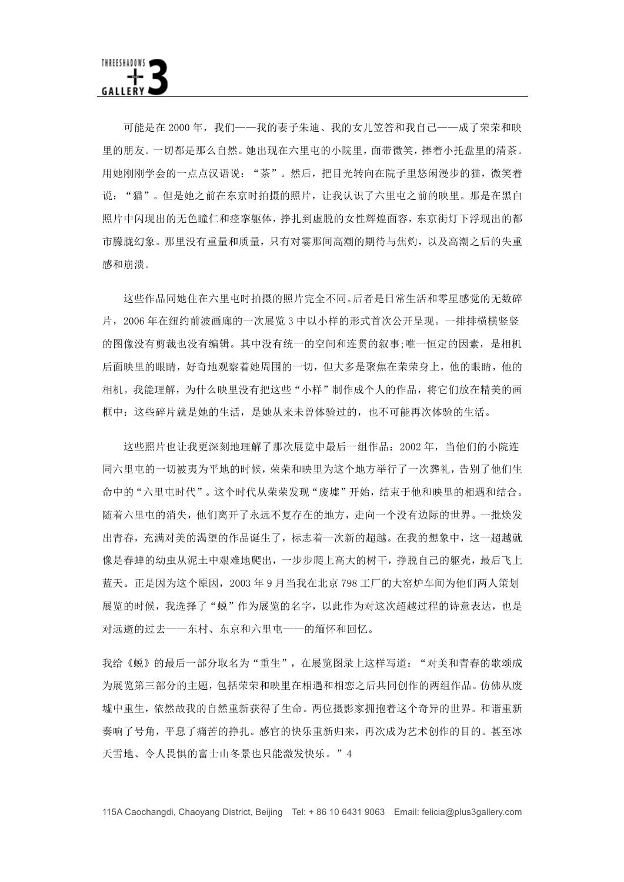可能是在2000年,我们一一我的妻子朱迪、我的女儿笠答和我自己一一成了荣荣和映 里的朋友。一切都是那么自然。她出现在六里屯的小院里,面带微笑,捧着小托盘里的清茶。 用她刚刚学会的一点点汉语说: "茶"。然后, 把目光转向在院子里悠闲漫步的猫, 微笑着 说: "猫"。但是她之前在东京时拍摄的照片, 让我认识了六里屯之前的映里。那是在黑白 照片中闪现出的无色瞳仁和痉挛躯体,挣扎到虚脱的女性辉煌面容,东京街灯下浮现出的都 市朦胧幻象。那里没有重量和质量,只有对霎那间高潮的期待与焦灼,以及高潮之后的失重 感和崩溃。

这些作品同她住在六里屯时拍摄的照片完全不同。后者是日常生活和零星感觉的无数碎 片, 2006年在纽约前波画廊的一次展览3中以小样的形式首次公开呈现。一排排横横竖竖 的图像没有剪裁也没有编辑。其中没有统一的空间和连贯的叙事;唯一恒定的因素, 是相机 后面映里的眼睛, 好奇地观察着她周围的一切, 但大多是聚焦在荣荣身上, 他的眼睛, 他的 相机。我能理解,为什么映里没有把这些"小样"制作成个人的作品,将它们放在精美的画 框中: 这些碎片就是她的生活, 是她从来未曾体验过的, 也不可能再次体验的生活。

这些照片也让我更深刻地理解了那次展览中最后一组作品: 2002年, 当他们的小院连 同六里屯的一切被夷为平地的时候,荣荣和映里为这个地方举行了一次葬礼,告别了他们生 命中的"六里屯时代"。这个时代从荣荣发现"废墟"开始,结束于他和映里的相遇和结合。 随着六里屯的消失,他们离开了永远不复存在的地方,走向一个没有边际的世界。一批焕发 出青春, 充满对美的渴望的作品诞生了, 标志着一次新的超越。在我的想象中, 这一超越就 像是春蝉的幼虫从泥土中艰难地爬出,一步步爬上高大的树干,挣脱自己的躯壳,最后飞上 蓝天。正是因为这个原因, 2003年9月当我在北京798工厂的大窑炉车间为他们两人策划 展览的时候,我选择了"蜕"作为展览的名字,以此作为对这次超越过程的诗意表达,也是 对远逝的过去——东村、东京和六里屯——的缅怀和回忆。

我给《蜕》的最后一部分取名为"重生",在展览图录上这样写道:"对美和青春的歌颂成 为展览第三部分的主题,包括荣荣和映里在相遇和相恋之后共同创作的两组作品。仿佛从废 墟中重生,依然故我的自然重新获得了生命。两位摄影家拥抱着这个奇异的世界。和谐重新 奏响了号角,平息了痛苦的挣扎。感官的快乐重新归来,再次成为艺术创作的目的。甚至冰 天雪地、令人畏惧的富士山冬景也只能激发快乐。"4